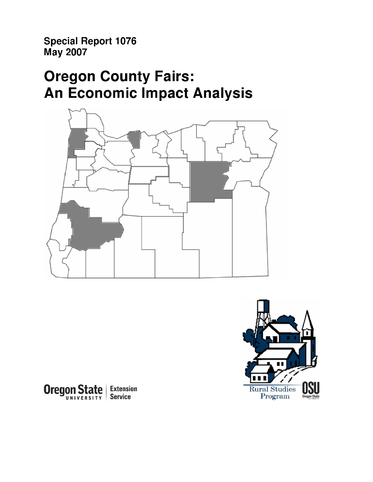Special Report 1076 May 2007

# Oregon County Fairs: An Economic Impact Analysis





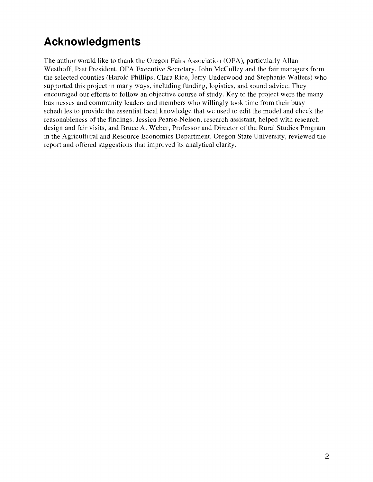## Acknowledgments

The author would like to thank the Oregon Fairs Association (OFA), particularly Allan Westhoff, Past President, OFA Executive Secretary, John McCulley and the fair managers from the selected counties (Harold Phillips, Clara Rice, Jerry Underwood and Stephanie Walters) who supported this project in many ways, including funding, logistics, and sound advice. They encouraged our efforts to follow an objective course of study. Key to the project were the many businesses and community leaders and members who willingly took time from their busy schedules to provide the essential local knowledge that we used to edit the model and check the reasonableness of the findings. Jessica Pearse-Nelson, research assistant, helped with research design and fair visits, and Bruce A. Weber, Professor and Director of the Rural Studies Program in the Agricultural and Resource Economics Department, Oregon State University, reviewed the report and offered suggestions that improved its analytical clarity.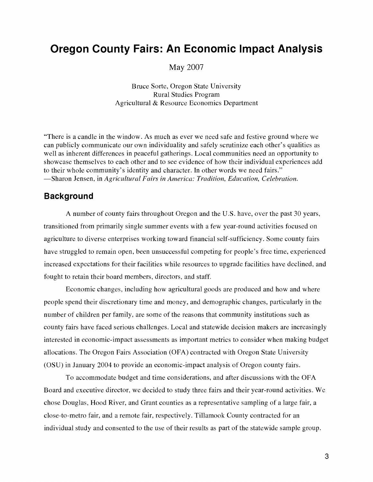## Oregon County Fairs: An Economic Impact Analysis

May 2007

Bruce Sorte, Oregon State University Rural Studies Program Agricultural & Resource Economics Department

"There is a candle in the window. As much as ever we need safe and festive ground where we can publicly communicate our own individuality and safely scrutinize each other's qualities as well as inherent differences in peaceful gatherings. Local communities need an opportunity to showcase themselves to each other and to see evidence of how their individual experiences add to their whole community's identity and character. In other words we need fairs." -Sharon Jensen, in Agricultural Fairs in America: Tradition, Education, Celebration.

### Background

A number of county fairs throughout Oregon and the U.S. have, over the past 30 years, transitioned from primarily single summer events with a few year-round activities focused on agriculture to diverse enterprises working toward financial self-sufficiency. Some county fairs have struggled to remain open, been unsuccessful competing for people's free time, experienced increased expectations for their facilities while resources to upgrade facilities have declined, and fought to retain their board members, directors, and staff.

Economic changes, including how agricultural goods are produced and how and where people spend their discretionary time and money, and demographic changes, particularly in the number of children per family, are some of the reasons that community institutions such as county fairs have faced serious challenges. Local and statewide decision makers are increasingly interested in economic-impact assessments as important metrics to consider when making budget allocations. The Oregon Fairs Association (OFA) contracted with Oregon State University (OSU) in January 2004 to provide an economic-impact analysis of Oregon county fairs.

To accommodate budget and time considerations, and after discussions with the OFA Board and executive director, we decided to study three fairs and their year-round activities. We chose Douglas, Hood River, and Grant counties as a representative sampling of a large fair, a close-to-metro fair, and a remote fair, respectively. Tillamook County contracted for an individual study and consented to the use of their results as part of the statewide sample group.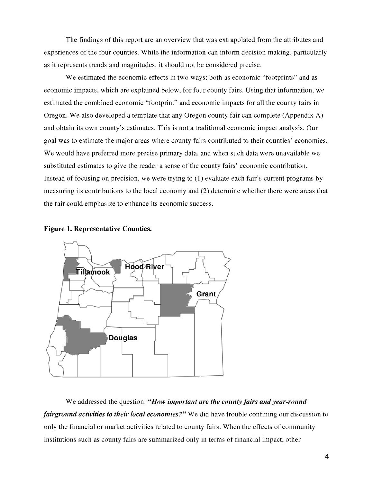The findings of this report are an overview that was extrapolated from the attributes and experiences of the four counties. While the information can inform decision making, particularly as it represents trends and magnitudes, it should not be considered precise.

We estimated the economic effects in two ways: both as economic "footprints" and as economic impacts, which are explained below, for four county fairs. Using that information, we estimated the combined economic "footprint" and economic impacts for all the county fairs in Oregon. We also developed a template that any Oregon county fair can complete (Appendix A) and obtain its own county's estimates. This is not a traditional economic impact analysis. Our goal was to estimate the major areas where county fairs contributed to their counties' economies. We would have preferred more precise primary data, and when such data were unavailable we substituted estimates to give the reader a sense of the county fairs' economic contribution. Instead of focusing on precision, we were trying to (1) evaluate each fair's current programs by measuring its contributions to the local economy and (2) determine whether there were areas that the fair could emphasize to enhance its economic success.





We addressed the question: "How important are the county fairs and year-round fairground activities to their local economies?" We did have trouble confining our discussion to only the financial or market activities related to county fairs. When the effects of community institutions such as county fairs are summarized only in terms of financial impact, other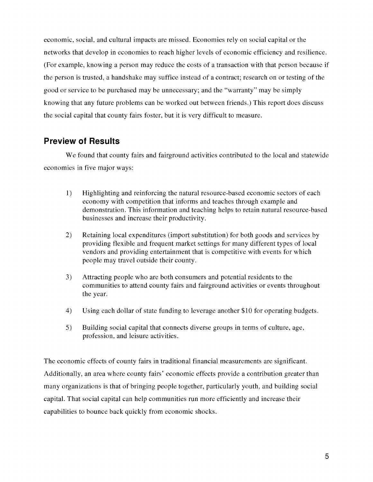economic, social, and cultural impacts are missed. Economies rely on social capital or the networks that develop in economies to reach higher levels of economic efficiency and resilience. (For example, knowing a person may reduce the costs of a transaction with that person because if the person is trusted, a handshake may suffice instead of a contract; research on or testing of the good or service to be purchased may be unnecessary; and the "warranty" may be simply knowing that any future problems can be worked out between friends.) This report does discuss the social capital that county fairs foster, but it is very difficult to measure.

## Preview of Results

We found that county fairs and fairground activities contributed to the local and statewide economies in five major ways:

- 1) Highlighting and reinforcing the natural resource-based economic sectors of each economy with competition that informs and teaches through example and demonstration. This information and teaching helps to retain natural resource-based businesses and increase their productivity.
- 2) Retaining local expenditures (import substitution) for both goods and services by providing flexible and frequent market settings for many different types of local vendors and providing entertainment that is competitive with events for which people may travel outside their county.
- 3) Attracting people who are both consumers and potential residents to the communities to attend county fairs and fairground activities or events throughout the year.
- 4) Using each dollar of state funding to leverage another \$10 for operating budgets.
- 5) Building social capital that connects diverse groups in terms of culture, age, profession, and leisure activities.

The economic effects of county fairs in traditional financial measurements are significant. Additionally, an area where county fairs' economic effects provide a contribution greater than many organizations is that of bringing people together, particularly youth, and building social capital. That social capital can help communities run more efficiently and increase their capabilities to bounce back quickly from economic shocks.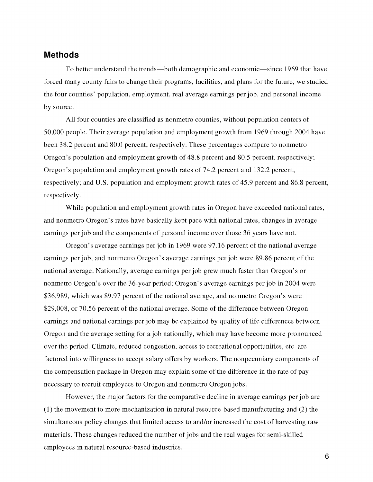#### Methods

To better understand the trends—both demographic and economic—since 1969 that have forced many county fairs to change their programs, facilities, and plans for the future; we studied the four counties' population, employment, real average earnings per job, and personal income by source.

All four counties are classified as nonmetro counties, without population centers of 50,000 people. Their average population and employment growth from 1969 through 2004 have been 38.2 percent and 80.0 percent, respectively. These percentages compare to nonmetro Oregon's population and employment growth of 48.8 percent and 80.5 percent, respectively; Oregon's population and employment growth rates of 74.2 percent and 132.2 percent, respectively; and U.S. population and employment growth rates of 45.9 percent and 86.8 percent, respectively.

While population and employment growth rates in Oregon have exceeded national rates, and nonmetro Oregon's rates have basically kept pace with national rates, changes in average earnings per job and the components of personal income over those 36 years have not.

Oregon's average earnings per job in 1969 were 97.16 percent of the national average earnings per job, and nonmetro Oregon's average earnings per job were 89.86 percent of the national average. Nationally, average earnings per job grew much faster than Oregon's or nonmetro Oregon's over the 36-year period; Oregon's average earnings per job in 2004 were \$36,989, which was 89.97 percent of the national average, and nonmetro Oregon's were \$29,008, or 70.56 percent of the national average. Some of the difference between Oregon earnings and national earnings per job may be explained by quality of life differences between Oregon and the average setting for a job nationally, which may have become more pronounced over the period. Climate, reduced congestion, access to recreational opportunities, etc. are factored into willingness to accept salary offers by workers. The nonpecuniary components of the compensation package in Oregon may explain some of the difference in the rate of pay necessary to recruit employees to Oregon and nonmetro Oregon jobs.

However, the major factors for the comparative decline in average earnings per job are (1) the movement to more mechanization in natural resource-based manufacturing and (2) the simultaneous policy changes that limited access to and/or increased the cost of harvesting raw materials. These changes reduced the number of jobs and the real wages for semi-skilled employees in natural resource-based industries.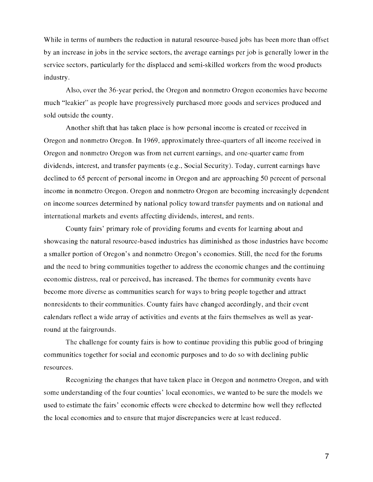While in terms of numbers the reduction in natural resource-based jobs has been more than offset by an increase in jobs in the service sectors, the average earnings per job is generally lower in the service sectors, particularly for the displaced and semi-skilled workers from the wood products industry.

Also, over the 36-year period, the Oregon and nonmetro Oregon economies have become much "leakier" as people have progressively purchased more goods and services produced and sold outside the county.

Another shift that has taken place is how personal income is created or received in Oregon and nonmetro Oregon. In 1969, approximately three-quarters of all income received in Oregon and nonmetro Oregon was from net current earnings, and one-quarter came from dividends, interest, and transfer payments (e.g., Social Security). Today, current earnings have declined to 65 percent of personal income in Oregon and are approaching 50 percent of personal income in nonmetro Oregon. Oregon and nonmetro Oregon are becoming increasingly dependent on income sources determined by national policy toward transfer payments and on national and international markets and events affecting dividends, interest, and rents.

County fairs' primary role of providing forums and events for learning about and showcasing the natural resource-based industries has diminished as those industries have become a smaller portion of Oregon's and nonmetro Oregon's economies. Still, the need for the forums and the need to bring communities together to address the economic changes and the continuing economic distress, real or perceived, has increased. The themes for community events have become more diverse as communities search for ways to bring people together and attract nonresidents to their communities. County fairs have changed accordingly, and their event calendars reflect a wide array of activities and events at the fairs themselves as well as yearround at the fairgrounds.

The challenge for county fairs is how to continue providing this public good of bringing communities together for social and economic purposes and to do so with declining public resources.

Recognizing the changes that have taken place in Oregon and nonmetro Oregon, and with some understanding of the four counties' local economies, we wanted to be sure the models we used to estimate the fairs' economic effects were checked to determine how well they reflected the local economies and to ensure that major discrepancies were at least reduced.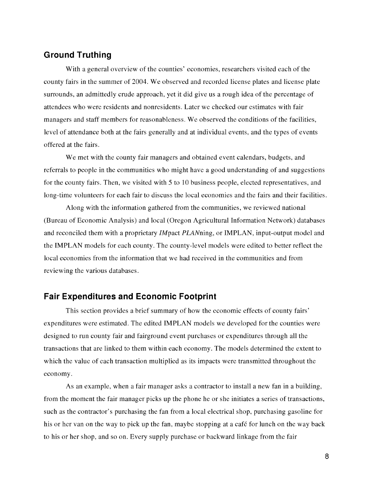## Ground Truthing

With a general overview of the counties' economies, researchers visited each of the county fairs in the summer of 2004. We observed and recorded license plates and license plate surrounds, an admittedly crude approach, yet it did give us a rough idea of the percentage of attendees who were residents and nonresidents. Later we checked our estimates with fair managers and staff members for reasonableness. We observed the conditions of the facilities, level of attendance both at the fairs generally and at individual events, and the types of events offered at the fairs.

We met with the county fair managers and obtained event calendars, budgets, and referrals to people in the communities who might have a good understanding of and suggestions for the county fairs. Then, we visited with 5 to 10 business people, elected representatives, and long-time volunteers for each fair to discuss the local economies and the fairs and their facilities.

Along with the information gathered from the communities, we reviewed national (Bureau of Economic Analysis) and local (Oregon Agricultural Information Network) databases and reconciled them with a proprietary *IM* pact *PLAN* ning, or IMPLAN, input-output model and the IMPLAN models for each county. The county-level models were edited to better reflect the local economies from the information that we had received in the communities and from reviewing the various databases.

### Fair Expenditures and Economic Footprint

This section provides a brief summary of how the economic effects of county fairs' expenditures were estimated. The edited IMPLAN models we developed for the counties were designed to run county fair and fairground event purchases or expenditures through all the transactions that are linked to them within each economy. The models determined the extent to which the value of each transaction multiplied as its impacts were transmitted throughout the economy.

As an example, when a fair manager asks a contractor to install a new fan in a building, from the moment the fair manager picks up the phone he or she initiates a series of transactions, such as the contractor's purchasing the fan from a local electrical shop, purchasing gasoline for his or her van on the way to pick up the fan, maybe stopping at a café for lunch on the way back to his or her shop, and so on. Every supply purchase or backward linkage from the fair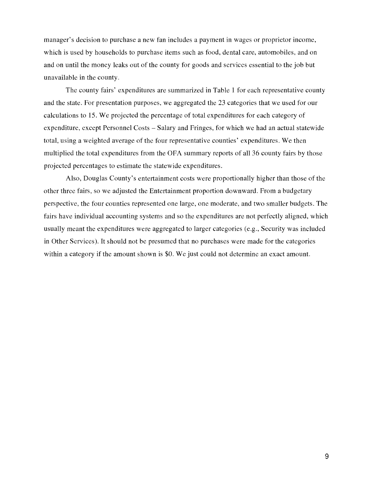manager's decision to purchase a new fan includes a payment in wages or proprietor income, which is used by households to purchase items such as food, dental care, automobiles, and on and on until the money leaks out of the county for goods and services essential to the job but unavailable in the county.

The county fairs' expenditures are summarized in Table 1 for each representative county and the state. For presentation purposes, we aggregated the 23 categories that we used for our calculations to 15. We projected the percentage of total expenditures for each category of expenditure, except Personnel Costs – Salary and Fringes, for which we had an actual statewide total, using a weighted average of the four representative counties' expenditures. We then multiplied the total expenditures from the OFA summary reports of all 36 county fairs by those projected percentages to estimate the statewide expenditures.

Also, Douglas County's entertainment costs were proportionally higher than those of the other three fairs, so we adjusted the Entertainment proportion downward. From a budgetary perspective, the four counties represented one large, one moderate, and two smaller budgets. The fairs have individual accounting systems and so the expenditures are not perfectly aligned, which usually meant the expenditures were aggregated to larger categories (e.g., Security was included in Other Services). It should not be presumed that no purchases were made for the categories within a category if the amount shown is \$0. We just could not determine an exact amount.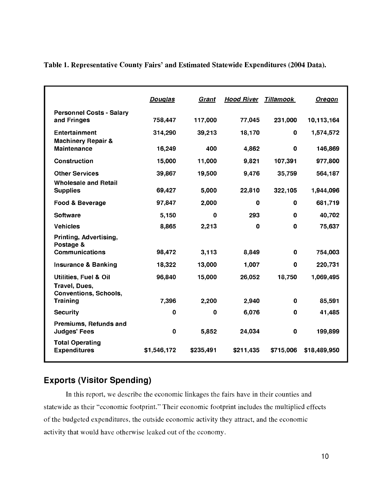|                                                                                   | <b>Douglas</b> | Grant        | <b>Hood River</b> | <b>Tillamook</b> | <b>Oregon</b> |
|-----------------------------------------------------------------------------------|----------------|--------------|-------------------|------------------|---------------|
| <b>Personnel Costs - Salary</b><br>and Fringes                                    | 758,447        | 117,000      | 77,045            | 231,000          | 10,113,164    |
| <b>Entertainment</b><br><b>Machinery Repair &amp;</b>                             | 314,290        | 39,213       | 18,170            | $\mathbf 0$      | 1,574,572     |
| <b>Maintenance</b>                                                                | 16,249         | 400          | 4,862             | $\mathbf 0$      | 146,869       |
| <b>Construction</b>                                                               | 15,000         | 11,000       | 9,821             | 107,391          | 977,800       |
| <b>Other Services</b>                                                             | 39,867         | 19,500       | 9,476             | 35,759           | 564,187       |
| <b>Wholesale and Retail</b><br><b>Supplies</b>                                    | 69,427         | 5,000        | 22,810            | 322,105          | 1,944,096     |
| Food & Beverage                                                                   | 97,847         | 2,000        | $\mathbf 0$       | $\mathbf 0$      | 681,719       |
| <b>Software</b>                                                                   | 5,150          | $\mathbf{0}$ | 293               | $\mathbf 0$      | 40,702        |
| <b>Vehicles</b>                                                                   | 8,865          | 2,213        | $\mathbf 0$       | $\mathbf 0$      | 75,637        |
| Printing, Advertising,<br>Postage &                                               |                |              |                   |                  |               |
| <b>Communications</b>                                                             | 98,472         | 3,113        | 8,849             | $\mathbf{0}$     | 754,003       |
| <b>Insurance &amp; Banking</b>                                                    | 18,322         | 13,000       | 1,007             | $\mathbf 0$      | 220,731       |
| <b>Utilities, Fuel &amp; Oil</b><br>Travel, Dues,<br><b>Conventions, Schools,</b> | 96,840         | 15,000       | 26,052            | 18,750           | 1,069,495     |
| Training                                                                          | 7,396          | 2,200        | 2,940             | $\mathbf 0$      | 85,591        |
| <b>Security</b>                                                                   | $\mathbf 0$    | $\mathbf 0$  | 6,076             | $\mathbf 0$      | 41,485        |
| Premiums, Refunds and<br><b>Judges' Fees</b>                                      | 0              | 5,852        | 24,034            | $\mathbf 0$      | 199,899       |
| <b>Total Operating</b><br><b>Expenditures</b>                                     | \$1,546,172    | \$235,491    | \$211,435         | \$715,006        | \$18,489,950  |
|                                                                                   |                |              |                   |                  |               |

Table 1. Representative County Fairs' and Estimated Statewide Expenditures (2004 Data).

## Exports (Visitor Spending)

In this report, we describe the economic linkages the fairs have in their counties and statewide as their "economic footprint." Their economic footprint includes the multiplied effects of the budgeted expenditures, the outside economic activity they attract, and the economic activity that would have otherwise leaked out of the economy.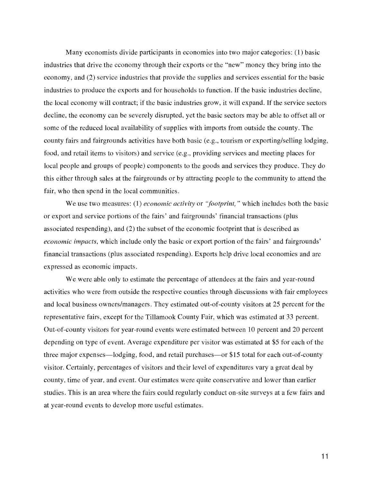Many economists divide participants in economies into two major categories: (1) basic industries that drive the economy through their exports or the "new" money they bring into the economy, and (2) service industries that provide the supplies and services essential for the basic industries to produce the exports and for households to function. If the basic industries decline, the local economy will contract; if the basic industries grow, it will expand. If the service sectors decline, the economy can be severely disrupted, yet the basic sectors may be able to offset all or some of the reduced local availability of supplies with imports from outside the county. The county fairs and fairgrounds activities have both basic (e.g., tourism or exporting/selling lodging, food, and retail items to visitors) and service (e.g., providing services and meeting places for local people and groups of people) components to the goods and services they produce. They do this either through sales at the fairgrounds or by attracting people to the community to attend the fair, who then spend in the local communities.

We use two measures: (1) *economic activity* or "*footprint*," which includes both the basic or export and service portions of the fairs' and fairgrounds' financial transactions (plus associated respending), and (2) the subset of the economic footprint that is described as economic impacts, which include only the basic or export portion of the fairs' and fairgrounds' financial transactions (plus associated respending). Exports help drive local economies and are expressed as economic impacts.

We were able only to estimate the percentage of attendees at the fairs and year-round activities who were from outside the respective counties through discussions with fair employees and local business owners/managers. They estimated out-of-county visitors at 25 percent for the representative fairs, except for the Tillamook County Fair, which was estimated at 33 percent. Out-of-county visitors for year-round events were estimated between 10 percent and 20 percent depending on type of event. Average expenditure per visitor was estimated at \$5 for each of the three major expenses—lodging, food, and retail purchases—or \$15 total for each out-of-county visitor. Certainly, percentages of visitors and their level of expenditures vary a great deal by county, time of year, and event. Our estimates were quite conservative and lower than earlier studies. This is an area where the fairs could regularly conduct on-site surveys at a few fairs and at year-round events to develop more useful estimates.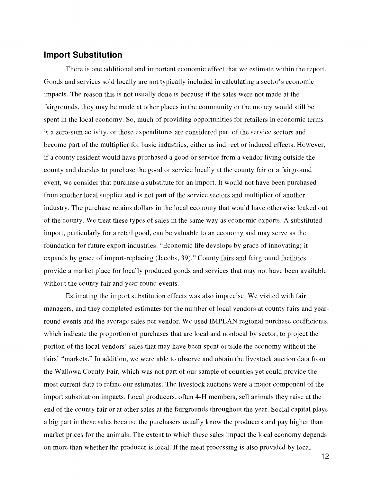#### Import Substitution

There is one additional and important economic effect that we estimate within the report. Goods and services sold locally are not typically included in calculating a sector's economic impacts. The reason this is not usually done is because if the sales were not made at the fairgrounds, they may be made at other places in the community or the money would still be spent in the local economy. So, much of providing opportunities for retailers in economic terms is a zero-sum activity, or those expenditures are considered part of the service sectors and become part of the multiplier for basic industries, either as indirect or induced effects. However, if a county resident would have purchased a good or service from a vendor living outside the county and decides to purchase the good or service locally at the county fair or a fairground event, we consider that purchase a substitute for an import. It would not have been purchased from another local supplier and is not part of the service sectors and multiplier of another industry. The purchase retains dollars in the local economy that would have otherwise leaked out of the county. We treat these types of sales in the same way as economic exports. A substituted import, particularly for a retail good, can be valuable to an economy and may serve as the foundation for future export industries. "Economic life develops by grace of innovating; it expands by grace of import-replacing (Jacobs, 39)." County fairs and fairground facilities provide a market place for locally produced goods and services that may not have been available without the county fair and year-round events.

Estimating the import substitution effects was also imprecise. We visited with fair managers, and they completed estimates for the number of local vendors at county fairs and yearround events and the average sales per vendor. We used IMPLAN regional purchase coefficients, which indicate the proportion of purchases that are local and nonlocal by sector, to project the portion of the local vendors' sales that may have been spent outside the economy without the fairs' "markets." In addition, we were able to observe and obtain the livestock auction data from the Wallowa County Fair, which was not part of our sample of counties yet could provide the most current data to refine our estimates. The livestock auctions were a major component of the import substitution impacts. Local producers, often 4-H members, sell animals they raise at the end of the county fair or at other sales at the fairgrounds throughout the year. Social capital plays a big part in these sales because the purchasers usually know the producers and pay higher than market prices for the animals. The extent to which these sales impact the local economy depends on more than whether the producer is local. If the meat processing is also provided by local

12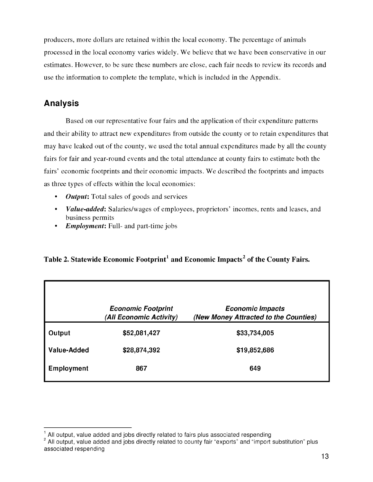producers, more dollars are retained within the local economy. The percentage of animals processed in the local economy varies widely. We believe that we have been conservative in our estimates. However, to be sure these numbers are close, each fair needs to review its records and use the information to complete the template, which is included in the Appendix.

## Analysis

Based on our representative four fairs and the application of their expenditure patterns and their ability to attract new expenditures from outside the county or to retain expenditures that may have leaked out of the county, we used the total annual expenditures made by all the county fairs for fair and year-round events and the total attendance at county fairs to estimate both the fairs' economic footprints and their economic impacts. We described the footprints and impacts as three types of effects within the local economies:

- **Output:** Total sales of goods and services  $\bullet$
- Value-added: Salaries/wages of employees, proprietors' incomes, rents and leases, and business permits
- **Employment:** Full- and part-time jobs

## Table 2. Statewide Economic Footprint<sup>1</sup> and Economic Impacts<sup>2</sup> of the County Fairs.

|             | <b>Economic Footprint</b>               | <b>Economic Impacts</b>                               |
|-------------|-----------------------------------------|-------------------------------------------------------|
| Output      | (All Economic Activity)<br>\$52,081,427 | (New Money Attracted to the Counties)<br>\$33,734,005 |
| Value-Added | \$28,874,392                            | \$19,852,686                                          |
| Employment  | 867                                     | 649                                                   |

 $<sup>1</sup>$  All output, value added and jobs directly related to fairs plus associated respending</sup>

<sup>&</sup>lt;sup>2</sup> All output, value added and jobs directly related to county fair "exports" and "import substitution" plus associated respending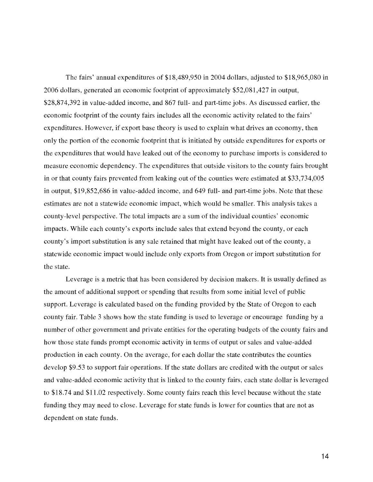The fairs' annual expenditures of \$18,489,950 in 2004 dollars, adjusted to \$18,965,080 in 2006 dollars, generated an economic footprint of approximately \$52,081,427 in output, \$28,874,392 in value-added income, and 867 full- and part-time jobs. As discussed earlier, the economic footprint of the county fairs includes all the economic activity related to the fairs' expenditures. However, if export base theory is used to explain what drives an economy, then only the portion of the economic footprint that is initiated by outside expenditures for exports or the expenditures that would have leaked out of the economy to purchase imports is considered to measure economic dependency. The expenditures that outside visitors to the county fairs brought in or that county fairs prevented from leaking out of the counties were estimated at \$33,734,005 in output, \$19,852,686 in value-added income, and 649 full- and part-time jobs. Note that these estimates are not a statewide economic impact, which would be smaller. This analysis takes a county-level perspective. The total impacts are a sum of the individual counties' economic impacts. While each county's exports include sales that extend beyond the county, or each county's import substitution is any sale retained that might have leaked out of the county, a statewide economic impact would include only exports from Oregon or import substitution for the state.

Leverage is a metric that has been considered by decision makers. It is usually defined as the amount of additional support or spending that results from some initial level of public support. Leverage is calculated based on the funding provided by the State of Oregon to each county fair. Table 3 shows how the state funding is used to leverage or encourage funding by a number of other government and private entities for the operating budgets of the county fairs and how those state funds prompt economic activity in terms of output or sales and value-added production in each county. On the average, for each dollar the state contributes the counties develop \$9.53 to support fair operations. If the state dollars are credited with the output or sales and value-added economic activity that is linked to the county fairs, each state dollar is leveraged to \$18.74 and \$11.02 respectively. Some county fairs reach this level because without the state funding they may need to close. Leverage for state funds is lower for counties that are not as dependent on state funds.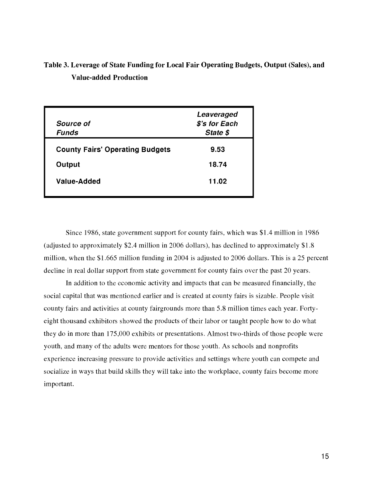## Table 3. Leverage of State Funding for Local Fair Operating Budgets, Output (Sales), and Value-added Production

| <b>Source of</b><br><b>Funds</b>       | Leaveraged<br>\$'s for Each<br>State \$ |
|----------------------------------------|-----------------------------------------|
| <b>County Fairs' Operating Budgets</b> | 9.53                                    |
| Output                                 | 18.74                                   |
| Value-Added                            | 11.02                                   |
|                                        |                                         |

Since 1986, state government support for county fairs, which was \$1.4 million in 1986 (adjusted to approximately \$2.4 million in 2006 dollars), has declined to approximately \$1.8 million, when the \$1.665 million funding in 2004 is adjusted to 2006 dollars. This is a 25 percent decline in real dollar support from state government for county fairs over the past 20 years.

In addition to the economic activity and impacts that can be measured financially, the social capital that was mentioned earlier and is created at county fairs is sizable. People visit county fairs and activities at county fairgrounds more than 5.8 million times each year. Fortyeight thousand exhibitors showed the products of their labor or taught people how to do what they do in more than 175,000 exhibits or presentations. Almost two-thirds of those people were youth, and many of the adults were mentors for those youth. As schools and nonprofits experience increasing pressure to provide activities and settings where youth can compete and socialize in ways that build skills they will take into the workplace, county fairs become more important.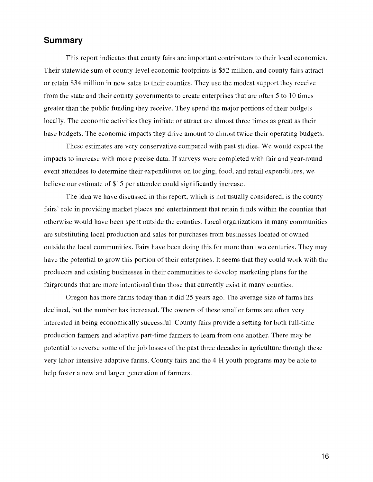## Summary

This report indicates that county fairs are important contributors to their local economies. Their statewide sum of county-level economic footprints is \$52 million, and county fairs attract or retain \$34 million in new sales to their counties. They use the modest support they receive from the state and their county governments to create enterprises that are often 5 to 10 times greater than the public funding they receive. They spend the major portions of their budgets locally. The economic activities they initiate or attract are almost three times as great as their base budgets. The economic impacts they drive amount to almost twice their operating budgets.

These estimates are very conservative compared with past studies. We would expect the impacts to increase with more precise data. If surveys were completed with fair and year-round event attendees to determine their expenditures on lodging, food, and retail expenditures, we believe our estimate of \$15 per attendee could significantly increase.

The idea we have discussed in this report, which is not usually considered, is the county fairs' role in providing market places and entertainment that retain funds within the counties that otherwise would have been spent outside the counties. Local organizations in many communities are substituting local production and sales for purchases from businesses located or owned outside the local communities. Fairs have been doing this for more than two centuries. They may have the potential to grow this portion of their enterprises. It seems that they could work with the producers and existing businesses in their communities to develop marketing plans for the fairgrounds that are more intentional than those that currently exist in many counties.

Oregon has more farms today than it did 25 years ago. The average size of farms has declined, but the number has increased. The owners of these smaller farms are often very interested in being economically successful. County fairs provide a setting for both full-time production farmers and adaptive part-time farmers to learn from one another. There may be potential to reverse some of the job losses of the past three decades in agriculture through these very labor-intensive adaptive farms. County fairs and the 4-H youth programs may be able to help foster a new and larger generation of farmers.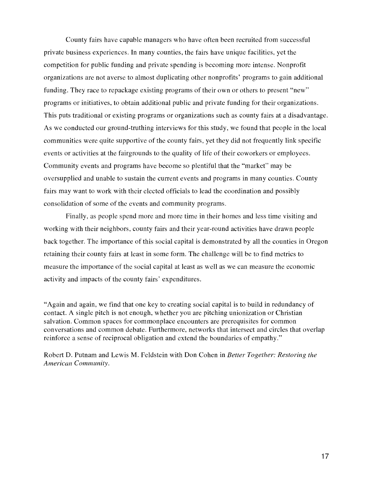County fairs have capable managers who have often been recruited from successful private business experiences. In many counties, the fairs have unique facilities, yet the competition for public funding and private spending is becoming more intense. Nonprofit organizations are not averse to almost duplicating other nonprofits' programs to gain additional funding. They race to repackage existing programs of their own or others to present "new" programs or initiatives, to obtain additional public and private funding for their organizations. This puts traditional or existing programs or organizations such as county fairs at a disadvantage. As we conducted our ground-truthing interviews for this study, we found that people in the local communities were quite supportive of the county fairs, yet they did not frequently link specific events or activities at the fairgrounds to the quality of life of their coworkers or employees. Community events and programs have become so plentiful that the "market" may be oversupplied and unable to sustain the current events and programs in many counties. County fairs may want to work with their elected officials to lead the coordination and possibly consolidation of some of the events and community programs.

Finally, as people spend more and more time in their homes and less time visiting and working with their neighbors, county fairs and their year-round activities have drawn people back together. The importance of this social capital is demonstrated by all the counties in Oregon retaining their county fairs at least in some form. The challenge will be to find metrics to measure the importance of the social capital at least as well as we can measure the economic activity and impacts of the county fairs' expenditures.

"Again and again, we find that one key to creating social capital is to build in redundancy of contact. A single pitch is not enough, whether you are pitching unionization or Christian salvation. Common spaces for commonplace encounters are prerequisites for common conversations and common debate. Furthermore, networks that intersect and circles that overlap reinforce a sense of reciprocal obligation and extend the boundaries of empathy."

Robert D. Putnam and Lewis M. Feldstein with Don Cohen in Better Together: Restoring the American Community.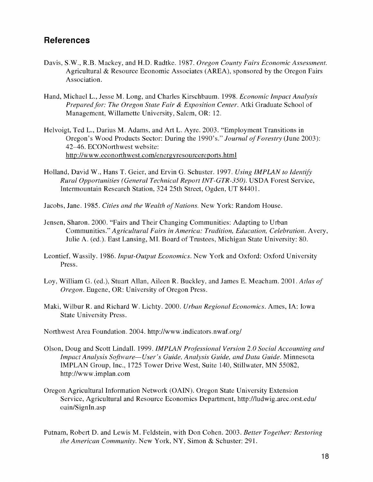## **References**

- Davis, S.W., R.B. Mackey, and H.D. Radtke. 1987. Oregon County Fairs Economic Assessment. Agricultural & Resource Economic Associates (AREA), sponsored by the Oregon Fairs Association.
- Hand, Michael L., Jesse M. Long, and Charles Kirschbaum. 1998. Economic Impact Analysis Prepared for: The Oregon State Fair & Exposition Center. Atki Graduate School of Management, Willamette University, Salem, OR: 12.
- Helvoigt, Ted L., Darius M. Adams, and Art L. Ayre. 2003. "Employment Transitions in Oregon's Wood Products Sector: During the 1990's." Journal of Forestry (June 2003): 42-46. ECONorthwest website: http://www.econorthwest.com/energyresourcereports.html
- Holland, David W., Hans T. Geier, and Ervin G. Schuster. 1997. Using IMPLAN to Identify Rural Opportunities (General Technical Report INT-GTR-350). USDA Forest Service, Intermountain Research Station, 324 25th Street, Ogden, UT 84401.
- Jacobs, Jane. 1985. Cities and the Wealth of Nations. New York: Random House.
- Jensen, Sharon. 2000. "Fairs and Their Changing Communities: Adapting to Urban Communities." Agricultural Fairs in America: Tradition, Education, Celebration. Avery, Julie A. (ed.). East Lansing, MI. Board of Trustees, Michigan State University: 80.
- Leontief, Wassily. 1986. Input-Output Economics. New York and Oxford: Oxford University Press.
- Loy, William G. (ed.), Stuart Allan, Aileen R. Buckley, and James E. Meacham. 2001. Atlas of Oregon. Eugene, OR: University of Oregon Press.
- Maki, Wilbur R. and Richard W. Lichty. 2000. Urban Regional Economics. Ames, IA: Iowa State University Press.
- Northwest Area Foundation. 2004. http://www.indicators.nwaf.org/
- Olson, Doug and Scott Lindall. 1999. IMPLAN Professional Version 2.0 Social Accounting and Impact Analysis Software-User's Guide, Analysis Guide, and Data Guide. Minnesota IMPLAN Group, Inc., 1725 Tower Drive West, Suite 140, Stillwater, MN 55082, http://www.implan.com
- Oregon Agricultural Information Network (OAIN). Oregon State University Extension Service, Agricultural and Resource Economics Department, http://ludwig.arec.orst.edu/ oain/Signln.asp
- Putnam, Robert D. and Lewis M. Feldstein, with Don Cohen. 2003. Better Together: Restoring the American Community. New York, NY, Simon & Schuster: 291.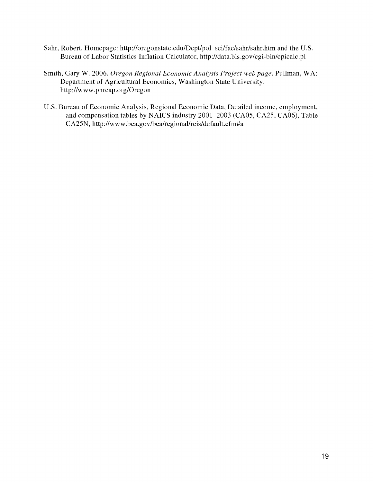- Sahr, Robert. Homepage: http://oregonstate.edu/Dept/pol\_sci/fac/sahr/sahr.htm and the U.S. Bureau of Labor Statistics Inflation Calculator, http://data.bls.gov/cgi-bin/cpicalc.pl
- Smith, Gary W. 2006. Oregon Regional Economic Analysis Project web page. Pullman, WA: Department of Agricultural Economics, Washington State University. http://www.pnreap.org/Oregon
- U.S. Bureau of Economic Analysis, Regional Economic Data, Detailed income, employment, and compensation tables by NAICS industry 2001-2003 (CA05, CA25, CA06), Table CA25N, http://www.bea.gov/bea/regional/reis/default.cfm#a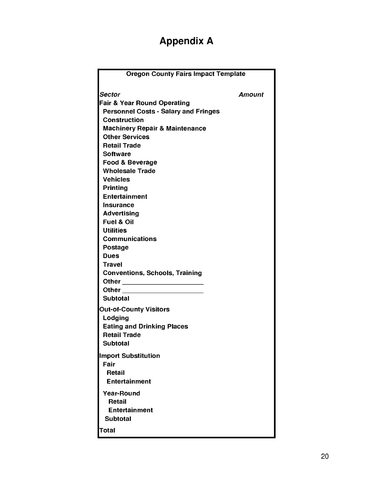## Appendix A

| <b>Oregon County Fairs Impact Template</b>  |               |
|---------------------------------------------|---------------|
| Sector                                      | <b>Amount</b> |
| <b>Fair &amp; Year Round Operating</b>      |               |
| <b>Personnel Costs - Salary and Fringes</b> |               |
| <b>Construction</b>                         |               |
| <b>Machinery Repair &amp; Maintenance</b>   |               |
| <b>Other Services</b>                       |               |
| <b>Retail Trade</b>                         |               |
| <b>Software</b>                             |               |
| Food & Beverage                             |               |
| <b>Wholesale Trade</b>                      |               |
| <b>Vehicles</b>                             |               |
| <b>Printing</b>                             |               |
| <b>Entertainment</b>                        |               |
| <b>Insurance</b>                            |               |
| Advertising                                 |               |
| <b>Fuel &amp; Oil</b>                       |               |
| <b>Utilities</b>                            |               |
| <b>Communications</b>                       |               |
| Postage                                     |               |
| <b>Dues</b>                                 |               |
| <b>Travel</b>                               |               |
| <b>Conventions, Schools, Training</b>       |               |
|                                             |               |
| Other ___________________                   |               |
| <b>Subtotal</b>                             |               |
| <b>Out-of-County Visitors</b>               |               |
| Lodging                                     |               |
| <b>Eating and Drinking Places</b>           |               |
| <b>Retail Trade</b>                         |               |
| <b>Subtotal</b>                             |               |
| <b>Import Substitution</b>                  |               |
| Fair                                        |               |
| Retail                                      |               |
| <b>Entertainment</b>                        |               |
|                                             |               |
| <b>Year-Round</b>                           |               |
| Retail                                      |               |
| <b>Entertainment</b>                        |               |
| <b>Subtotal</b>                             |               |
| Total                                       |               |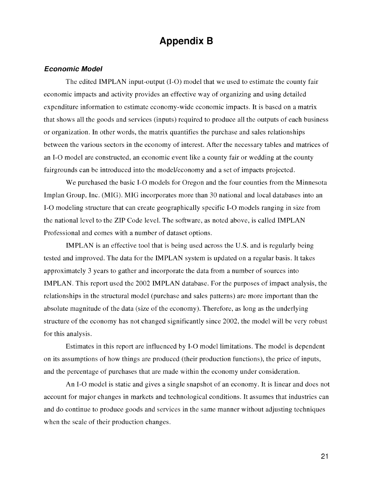## Appendix B

#### Economic Model

The edited IMPLAN input-output (1-0) model that we used to estimate the county fair economic impacts and activity provides an effective way of organizing and using detailed expenditure information to estimate economy-wide economic impacts. It is based on a matrix that shows all the goods and services (inputs) required to produce all the outputs of each business or organization. In other words, the matrix quantifies the purchase and sales relationships between the various sectors in the economy of interest. After the necessary tables and matrices of an 1-0 model are constructed, an economic event like a county fair or wedding at the county fairgrounds can be introduced into the model/economy and a set of impacts projected.

We purchased the basic 1-0 models for Oregon and the four counties from the Minnesota Implan Group, Inc. (MIG). MIG incorporates more than 30 national and local databases into an 1-0 modeling structure that can create geographically specific 1-0 models ranging in size from the national level to the ZIP Code level. The software, as noted above, is called IMPLAN Professional and comes with a number of dataset options.

IMPLAN is an effective tool that is being used across the U.S. and is regularly being tested and improved. The data for the IMPLAN system is updated on a regular basis. It takes approximately 3 years to gather and incorporate the data from a number of sources into IMPLAN. This report used the 2002 IMPLAN database. For the purposes of impact analysis, the relationships in the structural model (purchase and sales patterns) are more important than the absolute magnitude of the data (size of the economy). Therefore, as long as the underlying structure of the economy has not changed significantly since 2002, the model will be very robust for this analysis.

Estimates in this report are influenced by 1-0 model limitations. The model is dependent on its assumptions of how things are produced (their production functions), the price of inputs, and the percentage of purchases that are made within the economy under consideration.

An 1-0 model is static and gives a single snapshot of an economy. It is linear and does not account for major changes in markets and technological conditions. It assumes that industries can and do continue to produce goods and services in the same manner without adjusting techniques when the scale of their production changes.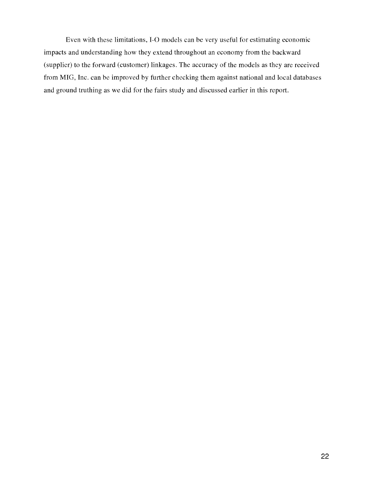Even with these limitations, 1-0 models can be very useful for estimating economic impacts and understanding how they extend throughout an economy from the backward (supplier) to the forward (customer) linkages. The accuracy of the models as they are received from MIG, Inc. can be improved by further checking them against national and local databases and ground truthing as we did for the fairs study and discussed earlier in this report.